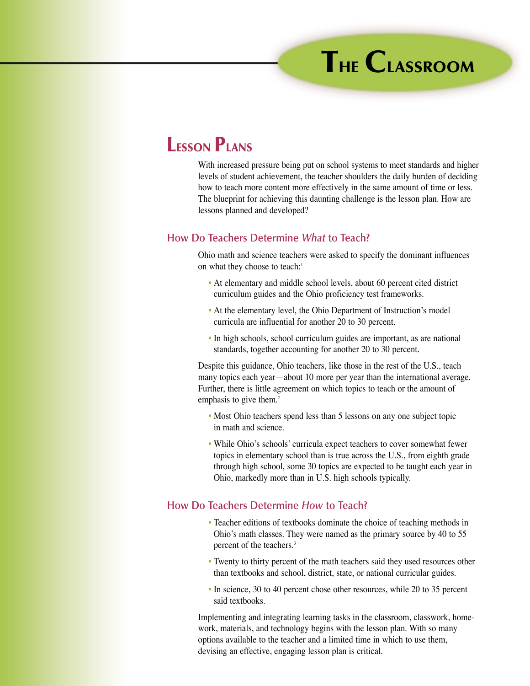## **LESSON PLANS**

With increased pressure being put on school systems to meet standards and higher levels of student achievement, the teacher shoulders the daily burden of deciding how to teach more content more effectively in the same amount of time or less. The blueprint for achieving this daunting challenge is the lesson plan. How are lessons planned and developed?

## **How Do Teachers Determine** *What* **to Teach?**

Ohio math and science teachers were asked to specify the dominant influences on what they choose to teach:<sup>1</sup>

- At elementary and middle school levels, about 60 percent cited district curriculum guides and the Ohio proficiency test frameworks.
- At the elementary level, the Ohio Department of Instruction's model curricula are influential for another 20 to 30 percent.
- In high schools, school curriculum guides are important, as are national standards, together accounting for another 20 to 30 percent.

Despite this guidance, Ohio teachers, like those in the rest of the U.S., teach many topics each year—about 10 more per year than the international average. Further, there is little agreement on which topics to teach or the amount of emphasis to give them.<sup>2</sup>

- Most Ohio teachers spend less than 5 lessons on any one subject topic in math and science.
- While Ohio's schools' curricula expect teachers to cover somewhat fewer topics in elementary school than is true across the U.S., from eighth grade through high school, some 30 topics are expected to be taught each year in Ohio, markedly more than in U.S. high schools typically.

## **How Do Teachers Determine** *How* **to Teach?**

- Teacher editions of textbooks dominate the choice of teaching methods in Ohio's math classes. They were named as the primary source by 40 to 55 percent of the teachers.3
- Twenty to thirty percent of the math teachers said they used resources other than textbooks and school, district, state, or national curricular guides.
- In science, 30 to 40 percent chose other resources, while 20 to 35 percent said textbooks.

Implementing and integrating learning tasks in the classroom, classwork, homework, materials, and technology begins with the lesson plan. With so many options available to the teacher and a limited time in which to use them, devising an effective, engaging lesson plan is critical.